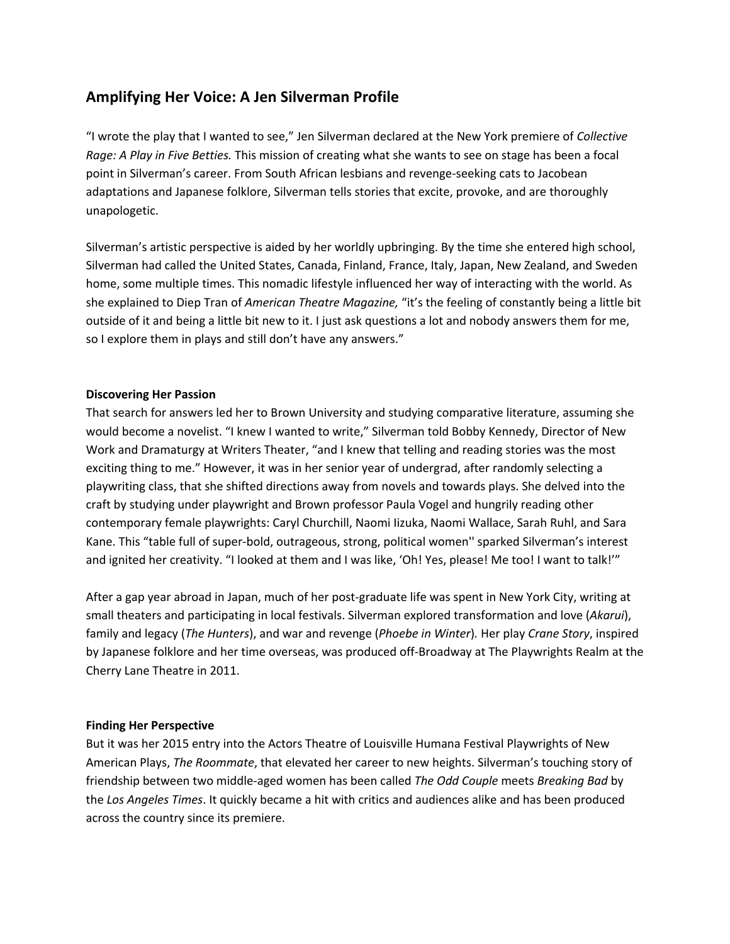## **Amplifying Her Voice: A Jen Silverman Profile**

"I wrote the play that I wanted to see," Jen Silverman declared at the New York premiere of *Collective Rage: A Play in Five Betties.* This mission of creating what she wants to see on stage has been a focal point in Silverman's career. From South African lesbians and revenge-seeking cats to Jacobean adaptations and Japanese folklore, Silverman tells stories that excite, provoke, and are thoroughly unapologetic.

Silverman's artistic perspective is aided by her worldly upbringing. By the time she entered high school, Silverman had called the United States, Canada, Finland, France, Italy, Japan, New Zealand, and Sweden home, some multiple times. This nomadic lifestyle influenced her way of interacting with the world. As she explained to Diep Tran of *American Theatre Magazine,* "it's the feeling of constantly being a little bit outside of it and being a little bit new to it. I just ask questions a lot and nobody answers them for me, so I explore them in plays and still don't have any answers."

## **Discovering Her Passion**

That search for answers led her to Brown University and studying comparative literature, assuming she would become a novelist. "I knew I wanted to write," Silverman told Bobby Kennedy, Director of New Work and Dramaturgy at Writers Theater, "and I knew that telling and reading stories was the most exciting thing to me." However, it was in her senior year of undergrad, after randomly selecting a playwriting class, that she shifted directions away from novels and towards plays. She delved into the craft by studying under playwright and Brown professor Paula Vogel and hungrily reading other contemporary female playwrights: Caryl Churchill, Naomi Iizuka, Naomi Wallace, Sarah Ruhl, and Sara Kane. This "table full of super-bold, outrageous, strong, political women'' sparked Silverman's interest and ignited her creativity. "I looked at them and I was like, 'Oh! Yes, please! Me too! I want to talk!'"

After a gap year abroad in Japan, much of her post-graduate life was spent in New York City, writing at small theaters and participating in local festivals. Silverman explored transformation and love (*Akarui*), family and legacy (*The Hunters*), and war and revenge (*Phoebe in Winter*)*.* Her play *Crane Story*, inspired by Japanese folklore and her time overseas, was produced off-Broadway at The Playwrights Realm at the Cherry Lane Theatre in 2011.

## **Finding Her Perspective**

But it was her 2015 entry into the Actors Theatre of Louisville Humana Festival Playwrights of New American Plays, *The Roommate*, that elevated her career to new heights. Silverman's touching story of friendship between two middle-aged women has been called *The Odd Couple* meets *Breaking Bad* by the *Los Angeles Times*. It quickly became a hit with critics and audiences alike and has been produced across the country since its premiere.